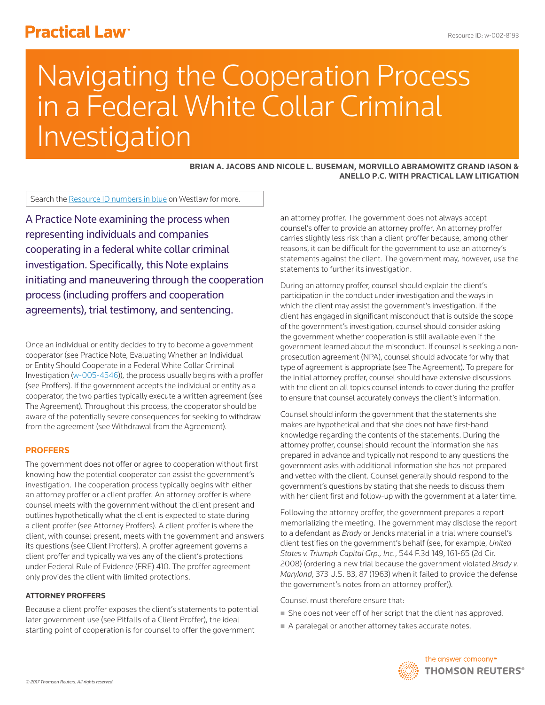# **Practical Law<sup>®</sup>**

# Navigating the Cooperation Process in a Federal White Collar Criminal Investigation

## **BRIAN A. JACOBS AND NICOLE L. BUSEMAN, MORVILLO ABRAMOWITZ GRAND IASON & ANELLO P.C. WITH PRACTICAL LAW LITIGATION**

Search the Resource ID numbers in blue on Westlaw for more.

A Practice Note examining the process when representing individuals and companies cooperating in a federal white collar criminal investigation. Specifically, this Note explains initiating and maneuvering through the cooperation process (including proffers and cooperation agreements), trial testimony, and sentencing.

Once an individual or entity decides to try to become a government cooperator (see Practice Note, Evaluating Whether an Individual or Entity Should Cooperate in a Federal White Collar Criminal Investigation  $(w-005-4546)$ , the process usually begins with a proffer (see Proffers). If the government accepts the individual or entity as a cooperator, the two parties typically execute a written agreement (see The Agreement). Throughout this process, the cooperator should be aware of the potentially severe consequences for seeking to withdraw from the agreement (see Withdrawal from the Agreement).

#### **PROFFERS**

The government does not offer or agree to cooperation without first knowing how the potential cooperator can assist the government's investigation. The cooperation process typically begins with either an attorney proffer or a client proffer. An attorney proffer is where counsel meets with the government without the client present and outlines hypothetically what the client is expected to state during a client proffer (see Attorney Proffers). A client proffer is where the client, with counsel present, meets with the government and answers its questions (see Client Proffers). A proffer agreement governs a client proffer and typically waives any of the client's protections under Federal Rule of Evidence (FRE) 410. The proffer agreement only provides the client with limited protections.

#### **ATTORNEY PROFFERS**

Because a client proffer exposes the client's statements to potential later government use (see Pitfalls of a Client Proffer), the ideal starting point of cooperation is for counsel to offer the government

an attorney proffer. The government does not always accept counsel's offer to provide an attorney proffer. An attorney proffer carries slightly less risk than a client proffer because, among other reasons, it can be difficult for the government to use an attorney's statements against the client. The government may, however, use the statements to further its investigation.

During an attorney proffer, counsel should explain the client's participation in the conduct under investigation and the ways in which the client may assist the government's investigation. If the client has engaged in significant misconduct that is outside the scope of the government's investigation, counsel should consider asking the government whether cooperation is still available even if the government learned about the misconduct. If counsel is seeking a nonprosecution agreement (NPA), counsel should advocate for why that type of agreement is appropriate (see The Agreement). To prepare for the initial attorney proffer, counsel should have extensive discussions with the client on all topics counsel intends to cover during the proffer to ensure that counsel accurately conveys the client's information.

Counsel should inform the government that the statements she makes are hypothetical and that she does not have first-hand knowledge regarding the contents of the statements. During the attorney proffer, counsel should recount the information she has prepared in advance and typically not respond to any questions the government asks with additional information she has not prepared and vetted with the client. Counsel generally should respond to the government's questions by stating that she needs to discuss them with her client first and follow-up with the government at a later time.

Following the attorney proffer, the government prepares a report memorializing the meeting. The government may disclose the report to a defendant as *Brady* or Jencks material in a trial where counsel's client testifies on the government's behalf (see, for example, *United States v. Triumph Capital Grp., Inc.*, 544 F.3d 149, 161-65 (2d Cir. 2008) (ordering a new trial because the government violated *Brady v. Maryland*, 373 U.S. 83, 87 (1963) when it failed to provide the defense the government's notes from an attorney proffer)).

Counsel must therefore ensure that:

- She does not veer off of her script that the client has approved.
- A paralegal or another attorney takes accurate notes.

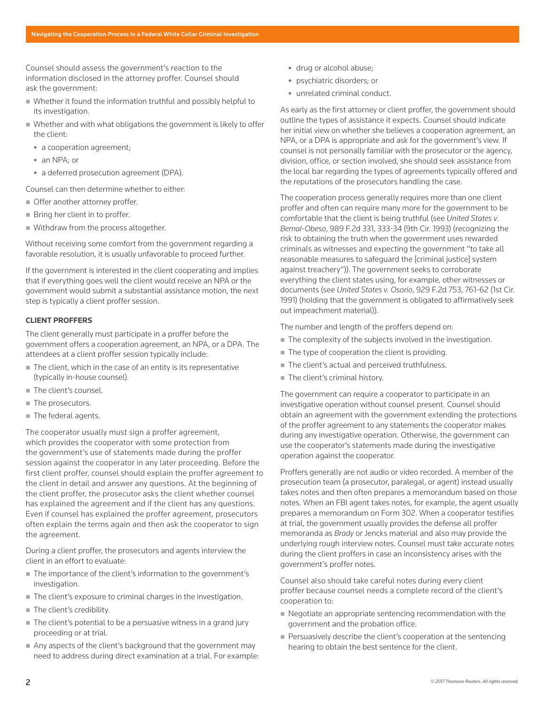Counsel should assess the government's reaction to the information disclosed in the attorney proffer. Counsel should ask the government:

- Whether it found the information truthful and possibly helpful to its investigation.
- Whether and with what obligations the government is likely to offer the client:
	- a cooperation agreement;
	- an NPA: or
	- a deferred prosecution agreement (DPA).

Counsel can then determine whether to either:

- Offer another attorney proffer.
- Bring her client in to proffer.
- Withdraw from the process altogether.

Without receiving some comfort from the government regarding a favorable resolution, it is usually unfavorable to proceed further.

If the government is interested in the client cooperating and implies that if everything goes well the client would receive an NPA or the government would submit a substantial assistance motion, the next step is typically a client proffer session.

#### **CLIENT PROFFERS**

The client generally must participate in a proffer before the government offers a cooperation agreement, an NPA, or a DPA. The attendees at a client proffer session typically include:

- The client, which in the case of an entity is its representative (typically in-house counsel).
- The client's counsel.
- The prosecutors.
- The federal agents.

The cooperator usually must sign a proffer agreement, which provides the cooperator with some protection from the government's use of statements made during the proffer session against the cooperator in any later proceeding. Before the first client proffer, counsel should explain the proffer agreement to the client in detail and answer any questions. At the beginning of the client proffer, the prosecutor asks the client whether counsel has explained the agreement and if the client has any questions. Even if counsel has explained the proffer agreement, prosecutors often explain the terms again and then ask the cooperator to sign the agreement.

During a client proffer, the prosecutors and agents interview the client in an effort to evaluate:

- The importance of the client's information to the government's investigation.
- The client's exposure to criminal charges in the investigation.
- The client's credibility.
- The client's potential to be a persuasive witness in a grand jury proceeding or at trial.
- Any aspects of the client's background that the government may need to address during direct examination at a trial. For example:
- drug or alcohol abuse;
- psychiatric disorders; or
- unrelated criminal conduct.

As early as the first attorney or client proffer, the government should outline the types of assistance it expects. Counsel should indicate her initial view on whether she believes a cooperation agreement, an NPA, or a DPA is appropriate and ask for the government's view. If counsel is not personally familiar with the prosecutor or the agency, division, office, or section involved, she should seek assistance from the local bar regarding the types of agreements typically offered and the reputations of the prosecutors handling the case.

The cooperation process generally requires more than one client proffer and often can require many more for the government to be comfortable that the client is being truthful (see *United States v. Bernal-Obeso*, 989 F.2d 331, 333-34 (9th Cir. 1993) (recognizing the risk to obtaining the truth when the government uses rewarded criminals as witnesses and expecting the government "to take all reasonable measures to safeguard the [criminal justice] system against treachery")). The government seeks to corroborate everything the client states using, for example, other witnesses or documents (see *United States v. Osorio*, 929 F.2d 753, 761-62 (1st Cir. 1991) (holding that the government is obligated to affirmatively seek out impeachment material)).

The number and length of the proffers depend on:

- The complexity of the subjects involved in the investigation.
- $\blacksquare$  The type of cooperation the client is providing.
- The client's actual and perceived truthfulness.
- The client's criminal history.

The government can require a cooperator to participate in an investigative operation without counsel present. Counsel should obtain an agreement with the government extending the protections of the proffer agreement to any statements the cooperator makes during any investigative operation. Otherwise, the government can use the cooperator's statements made during the investigative operation against the cooperator.

Proffers generally are not audio or video recorded. A member of the prosecution team (a prosecutor, paralegal, or agent) instead usually takes notes and then often prepares a memorandum based on those notes. When an FBI agent takes notes, for example, the agent usually prepares a memorandum on Form 302. When a cooperator testifies at trial, the government usually provides the defense all proffer memoranda as *Brady* or Jencks material and also may provide the underlying rough interview notes. Counsel must take accurate notes during the client proffers in case an inconsistency arises with the government's proffer notes.

Counsel also should take careful notes during every client proffer because counsel needs a complete record of the client's cooperation to:

- $\blacksquare$  Negotiate an appropriate sentencing recommendation with the government and the probation office.
- Persuasively describe the client's cooperation at the sentencing hearing to obtain the best sentence for the client.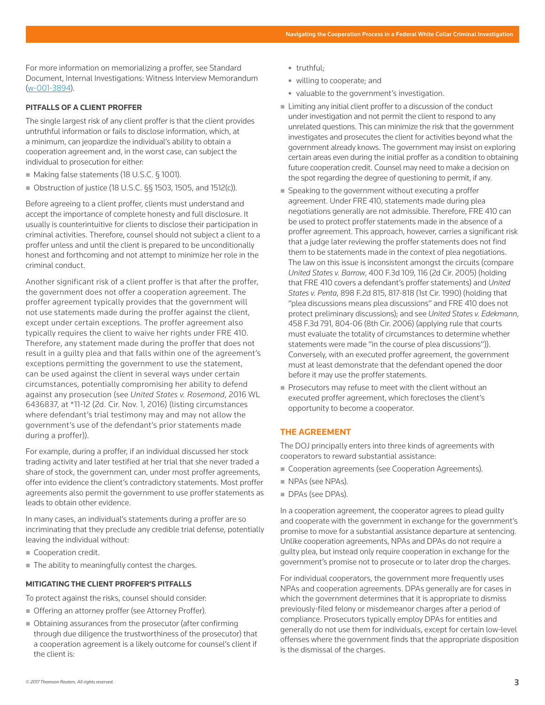For more information on memorializing a proffer, see Standard Document, Internal Investigations: Witness Interview Memorandum (w-001-3894).

# **PITFALLS OF A CLIENT PROFFER**

The single largest risk of any client proffer is that the client provides untruthful information or fails to disclose information, which, at a minimum, can jeopardize the individual's ability to obtain a cooperation agreement and, in the worst case, can subject the individual to prosecution for either:

- Making false statements (18 U.S.C. § 1001).
- Obstruction of justice (18 U.S.C. §§ 1503, 1505, and 1512(c)).

Before agreeing to a client proffer, clients must understand and accept the importance of complete honesty and full disclosure. It usually is counterintuitive for clients to disclose their participation in criminal activities. Therefore, counsel should not subject a client to a proffer unless and until the client is prepared to be unconditionally honest and forthcoming and not attempt to minimize her role in the criminal conduct.

Another significant risk of a client proffer is that after the proffer, the government does not offer a cooperation agreement. The proffer agreement typically provides that the government will not use statements made during the proffer against the client, except under certain exceptions. The proffer agreement also typically requires the client to waive her rights under FRE 410. Therefore, any statement made during the proffer that does not result in a guilty plea and that falls within one of the agreement's exceptions permitting the government to use the statement, can be used against the client in several ways under certain circumstances, potentially compromising her ability to defend against any prosecution (see *United States v. Rosemond*, 2016 WL 6436837, at \*11-12 (2d. Cir. Nov. 1, 2016) (listing circumstances where defendant's trial testimony may and may not allow the government's use of the defendant's prior statements made during a proffer)).

For example, during a proffer, if an individual discussed her stock trading activity and later testified at her trial that she never traded a share of stock, the government can, under most proffer agreements, offer into evidence the client's contradictory statements. Most proffer agreements also permit the government to use proffer statements as leads to obtain other evidence.

In many cases, an individual's statements during a proffer are so incriminating that they preclude any credible trial defense, potentially leaving the individual without:

- Cooperation credit.
- The ability to meaningfully contest the charges.

# **MITIGATING THE CLIENT PROFFER'S PITFALLS**

To protect against the risks, counsel should consider:

- Offering an attorney proffer (see Attorney Proffer).
- Obtaining assurances from the prosecutor (after confirming through due diligence the trustworthiness of the prosecutor) that a cooperation agreement is a likely outcome for counsel's client if the client is:
- truthful:
- willing to cooperate; and
- valuable to the government's investigation.
- Limiting any initial client proffer to a discussion of the conduct under investigation and not permit the client to respond to any unrelated questions. This can minimize the risk that the government investigates and prosecutes the client for activities beyond what the government already knows. The government may insist on exploring certain areas even during the initial proffer as a condition to obtaining future cooperation credit. Counsel may need to make a decision on the spot regarding the degree of questioning to permit, if any.
- Speaking to the government without executing a proffer agreement. Under FRE 410, statements made during plea negotiations generally are not admissible. Therefore, FRE 410 can be used to protect proffer statements made in the absence of a proffer agreement. This approach, however, carries a significant risk that a judge later reviewing the proffer statements does not find them to be statements made in the context of plea negotiations. The law on this issue is inconsistent amongst the circuits (compare *United States v. Barrow*, 400 F.3d 109, 116 (2d Cir. 2005) (holding that FRE 410 covers a defendant's proffer statements) and *United States v. Penta*, 898 F.2d 815, 817-818 (1st Cir. 1990) (holding that "plea discussions means plea discussions" and FRE 410 does not protect preliminary discussions); and see *United States v. Edekmann*, 458 F.3d 791, 804-06 (8th Cir. 2006) (applying rule that courts must evaluate the totality of circumstances to determine whether statements were made "in the course of plea discussions")). Conversely, with an executed proffer agreement, the government must at least demonstrate that the defendant opened the door before it may use the proffer statements.
- Prosecutors may refuse to meet with the client without an executed proffer agreement, which forecloses the client's opportunity to become a cooperator.

# **THE AGREEMENT**

The DOJ principally enters into three kinds of agreements with cooperators to reward substantial assistance:

- Cooperation agreements (see Cooperation Agreements).
- NPAs (see NPAs).
- DPAs (see DPAs).

In a cooperation agreement, the cooperator agrees to plead guilty and cooperate with the government in exchange for the government's promise to move for a substantial assistance departure at sentencing. Unlike cooperation agreements, NPAs and DPAs do not require a guilty plea, but instead only require cooperation in exchange for the government's promise not to prosecute or to later drop the charges.

For individual cooperators, the government more frequently uses NPAs and cooperation agreements. DPAs generally are for cases in which the government determines that it is appropriate to dismiss previously-filed felony or misdemeanor charges after a period of compliance. Prosecutors typically employ DPAs for entities and generally do not use them for individuals, except for certain low-level offenses where the government finds that the appropriate disposition is the dismissal of the charges.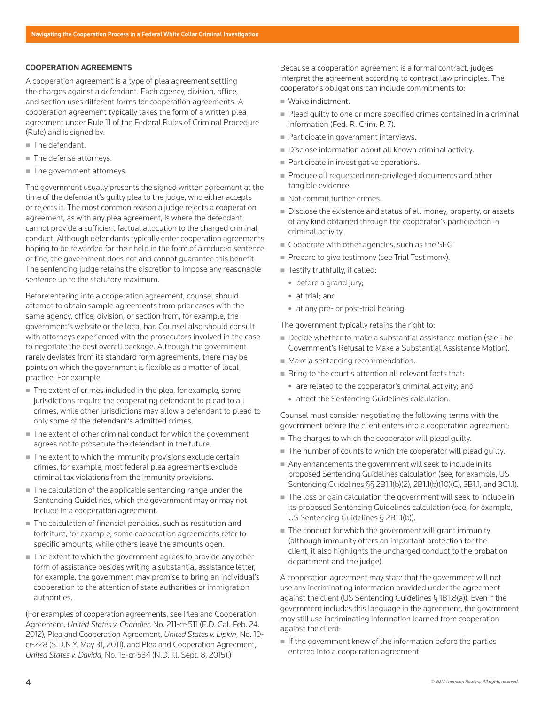#### **COOPERATION AGREEMENTS**

A cooperation agreement is a type of plea agreement settling the charges against a defendant. Each agency, division, office, and section uses different forms for cooperation agreements. A cooperation agreement typically takes the form of a written plea agreement under Rule 11 of the Federal Rules of Criminal Procedure (Rule) and is signed by:

- The defendant.
- The defense attorneys.
- **The government attorneys.**

The government usually presents the signed written agreement at the time of the defendant's quilty plea to the judge, who either accepts or rejects it. The most common reason a judge rejects a cooperation agreement, as with any plea agreement, is where the defendant cannot provide a sufficient factual allocution to the charged criminal conduct. Although defendants typically enter cooperation agreements hoping to be rewarded for their help in the form of a reduced sentence or fine, the government does not and cannot guarantee this benefit. The sentencing judge retains the discretion to impose any reasonable sentence up to the statutory maximum.

Before entering into a cooperation agreement, counsel should attempt to obtain sample agreements from prior cases with the same agency, office, division, or section from, for example, the government's website or the local bar. Counsel also should consult with attorneys experienced with the prosecutors involved in the case to negotiate the best overall package. Although the government rarely deviates from its standard form agreements, there may be points on which the government is flexible as a matter of local practice. For example:

- The extent of crimes included in the plea, for example, some jurisdictions require the cooperating defendant to plead to all crimes, while other jurisdictions may allow a defendant to plead to only some of the defendant's admitted crimes.
- The extent of other criminal conduct for which the government agrees not to prosecute the defendant in the future.
- The extent to which the immunity provisions exclude certain crimes, for example, most federal plea agreements exclude criminal tax violations from the immunity provisions.
- The calculation of the applicable sentencing range under the Sentencing Guidelines, which the government may or may not include in a cooperation agreement.
- The calculation of financial penalties, such as restitution and forfeiture, for example, some cooperation agreements refer to specific amounts, while others leave the amounts open.
- The extent to which the government agrees to provide any other form of assistance besides writing a substantial assistance letter, for example, the government may promise to bring an individual's cooperation to the attention of state authorities or immigration authorities.

(For examples of cooperation agreements, see Plea and Cooperation Agreement, *United States v. Chandler*, No. 211-cr-511 (E.D. Cal. Feb. 24, 2012), Plea and Cooperation Agreement, *United States v. Lipkin*, No. 10 cr-228 (S.D.N.Y. May 31, 2011), and Plea and Cooperation Agreement, *United States v. Davida*, No. 15-cr-534 (N.D. Ill. Sept. 8, 2015).)

Because a cooperation agreement is a formal contract, judges interpret the agreement according to contract law principles. The cooperator's obligations can include commitments to:

- **Waive indictment.**
- Plead quilty to one or more specified crimes contained in a criminal information (Fed. R. Crim. P. 7).
- Participate in government interviews.
- Disclose information about all known criminal activity.
- Participate in investigative operations.
- Produce all requested non-privileged documents and other tangible evidence.
- Not commit further crimes.
- Disclose the existence and status of all money, property, or assets of any kind obtained through the cooperator's participation in criminal activity.
- Cooperate with other agencies, such as the SEC.
- **Prepare to give testimony (see Trial Testimony).**
- Testify truthfully, if called:
	- before a grand jury;
	- at trial; and
	- at any pre- or post-trial hearing.

The government typically retains the right to:

- Decide whether to make a substantial assistance motion (see The Government's Refusal to Make a Substantial Assistance Motion).
- $\blacksquare$  Make a sentencing recommendation.
- Bring to the court's attention all relevant facts that:
	- are related to the cooperator's criminal activity; and
	- affect the Sentencing Guidelines calculation.

Counsel must consider negotiating the following terms with the government before the client enters into a cooperation agreement:

- $\blacksquare$  The charges to which the cooperator will plead guilty.
- The number of counts to which the cooperator will plead quilty.
- Any enhancements the government will seek to include in its proposed Sentencing Guidelines calculation (see, for example, US Sentencing Guidelines §§ 2B1.1(b)(2), 2B1.1(b)(10)(C), 3B1.1, and 3C1.1).
- The loss or gain calculation the government will seek to include in its proposed Sentencing Guidelines calculation (see, for example, US Sentencing Guidelines § 2B1.1(b)).
- $\blacksquare$  The conduct for which the government will grant immunity (although immunity offers an important protection for the client, it also highlights the uncharged conduct to the probation department and the judge).

A cooperation agreement may state that the government will not use any incriminating information provided under the agreement against the client (US Sentencing Guidelines § 1B1.8(a)). Even if the government includes this language in the agreement, the government may still use incriminating information learned from cooperation against the client:

 $\blacksquare$  If the government knew of the information before the parties entered into a cooperation agreement.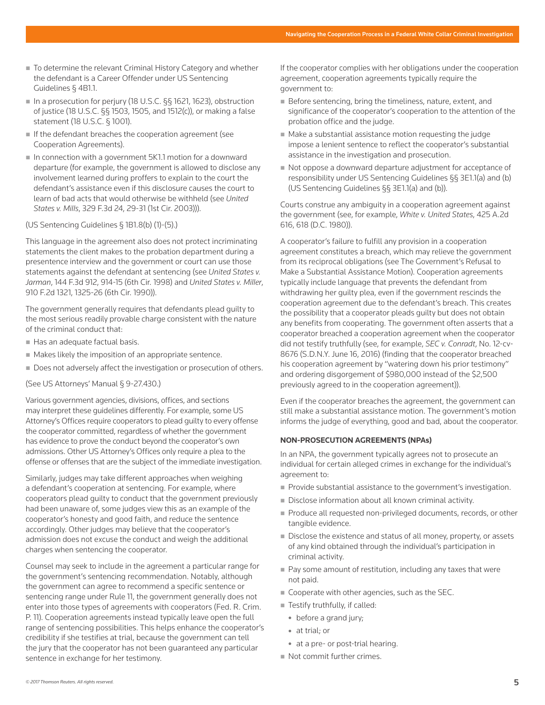- To determine the relevant Criminal History Category and whether the defendant is a Career Offender under US Sentencing Guidelines § 4B1.1.
- In a prosecution for perjury (18 U.S.C. §§ 1621, 1623), obstruction of justice (18 U.S.C. §§ 1503, 1505, and 1512(c)), or making a false statement (18 U.S.C. § 1001).
- If the defendant breaches the cooperation agreement (see Cooperation Agreements).
- $\blacksquare$  In connection with a government 5K1.1 motion for a downward departure (for example, the government is allowed to disclose any involvement learned during proffers to explain to the court the defendant's assistance even if this disclosure causes the court to learn of bad acts that would otherwise be withheld (see *United States v. Mills*, 329 F.3d 24, 29-31 (1st Cir. 2003))).
- (US Sentencing Guidelines § 1B1.8(b) (1)-(5).)

This language in the agreement also does not protect incriminating statements the client makes to the probation department during a presentence interview and the government or court can use those statements against the defendant at sentencing (see *United States v. Jarman*, 144 F.3d 912, 914-15 (6th Cir. 1998) and *United States v. Miller*, 910 F.2d 1321, 1325-26 (6th Cir. 1990)).

The government generally requires that defendants plead guilty to the most serious readily provable charge consistent with the nature of the criminal conduct that:

- Has an adequate factual basis.
- Makes likely the imposition of an appropriate sentence.
- Does not adversely affect the investigation or prosecution of others.

(See US Attorneys' Manual § 9-27.430.)

Various government agencies, divisions, offices, and sections may interpret these guidelines differently. For example, some US Attorney's Offices require cooperators to plead guilty to every offense the cooperator committed, regardless of whether the government has evidence to prove the conduct beyond the cooperator's own admissions. Other US Attorney's Offices only require a plea to the offense or offenses that are the subject of the immediate investigation.

Similarly, judges may take different approaches when weighing a defendant's cooperation at sentencing. For example, where cooperators plead guilty to conduct that the government previously had been unaware of, some judges view this as an example of the cooperator's honesty and good faith, and reduce the sentence accordingly. Other judges may believe that the cooperator's admission does not excuse the conduct and weigh the additional charges when sentencing the cooperator.

Counsel may seek to include in the agreement a particular range for the government's sentencing recommendation. Notably, although the government can agree to recommend a specific sentence or sentencing range under Rule 11, the government generally does not enter into those types of agreements with cooperators (Fed. R. Crim. P. 11). Cooperation agreements instead typically leave open the full range of sentencing possibilities. This helps enhance the cooperator's credibility if she testifies at trial, because the government can tell the jury that the cooperator has not been guaranteed any particular sentence in exchange for her testimony.

If the cooperator complies with her obligations under the cooperation agreement, cooperation agreements typically require the government to:

- Before sentencing, bring the timeliness, nature, extent, and significance of the cooperator's cooperation to the attention of the probation office and the judge.
- $\blacksquare$  Make a substantial assistance motion requesting the judge impose a lenient sentence to reflect the cooperator's substantial assistance in the investigation and prosecution.
- Not oppose a downward departure adjustment for acceptance of responsibility under US Sentencing Guidelines §§ 3E1.1(a) and (b) (US Sentencing Guidelines §§ 3E1.1(a) and (b)).

Courts construe any ambiguity in a cooperation agreement against the government (see, for example, *White v. United States*, 425 A.2d 616, 618 (D.C. 1980)).

A cooperator's failure to fulfill any provision in a cooperation agreement constitutes a breach, which may relieve the government from its reciprocal obligations (see The Government's Refusal to Make a Substantial Assistance Motion). Cooperation agreements typically include language that prevents the defendant from withdrawing her guilty plea, even if the government rescinds the cooperation agreement due to the defendant's breach. This creates the possibility that a cooperator pleads guilty but does not obtain any benefits from cooperating. The government often asserts that a cooperator breached a cooperation agreement when the cooperator did not testify truthfully (see, for example, *SEC v. Conradt*, No. 12-cv-8676 (S.D.N.Y. June 16, 2016) (finding that the cooperator breached his cooperation agreement by "watering down his prior testimony" and ordering disgorgement of \$980,000 instead of the \$2,500 previously agreed to in the cooperation agreement)).

Even if the cooperator breaches the agreement, the government can still make a substantial assistance motion. The government's motion informs the judge of everything, good and bad, about the cooperator.

# **NON-PROSECUTION AGREEMENTS (NPAs)**

In an NPA, the government typically agrees not to prosecute an individual for certain alleged crimes in exchange for the individual's agreement to:

- **Provide substantial assistance to the government's investigation.**
- Disclose information about all known criminal activity.
- Produce all requested non-privileged documents, records, or other tangible evidence.
- Disclose the existence and status of all money, property, or assets of any kind obtained through the individual's participation in criminal activity.
- Pay some amount of restitution, including any taxes that were not paid.
- Cooperate with other agencies, such as the SEC.
- Testify truthfully, if called:
	- before a grand jury;
	- at trial; or
	- at a pre- or post-trial hearing.
- Not commit further crimes.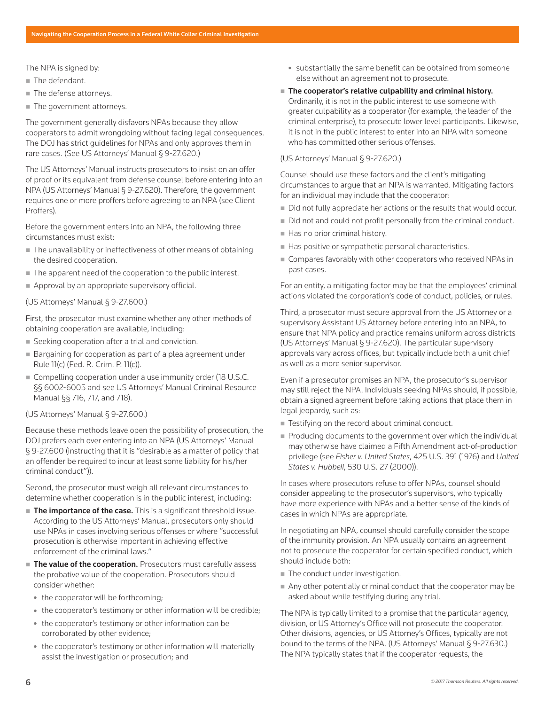The NPA is signed by:

- The defendant.
- **The defense attorneys.**
- The government attorneys.

The government generally disfavors NPAs because they allow cooperators to admit wrongdoing without facing legal consequences. The DOJ has strict guidelines for NPAs and only approves them in rare cases. (See US Attorneys' Manual § 9-27.620.)

The US Attorneys' Manual instructs prosecutors to insist on an offer of proof or its equivalent from defense counsel before entering into an NPA (US Attorneys' Manual § 9-27.620). Therefore, the government requires one or more proffers before agreeing to an NPA (see Client Proffers).

Before the government enters into an NPA, the following three circumstances must exist:

- The unavailability or ineffectiveness of other means of obtaining the desired cooperation.
- The apparent need of the cooperation to the public interest.
- Approval by an appropriate supervisory official.

#### (US Attorneys' Manual § 9-27.600.)

First, the prosecutor must examine whether any other methods of obtaining cooperation are available, including:

- Seeking cooperation after a trial and conviction.
- Bargaining for cooperation as part of a plea agreement under Rule 11(c) (Fed. R. Crim. P. 11(c)).
- Compelling cooperation under a use immunity order (18 U.S.C. §§ 6002-6005 and see US Attorneys' Manual Criminal Resource Manual §§ 716, 717, and 718).

#### (US Attorneys' Manual § 9-27.600.)

Because these methods leave open the possibility of prosecution, the DOJ prefers each over entering into an NPA (US Attorneys' Manual § 9-27.600 (instructing that it is "desirable as a matter of policy that an offender be required to incur at least some liability for his/her criminal conduct")).

Second, the prosecutor must weigh all relevant circumstances to determine whether cooperation is in the public interest, including:

- The importance of the case. This is a significant threshold issue. According to the US Attorneys' Manual, prosecutors only should use NPAs in cases involving serious offenses or where "successful prosecution is otherwise important in achieving effective enforcement of the criminal laws."
- The value of the cooperation. Prosecutors must carefully assess the probative value of the cooperation. Prosecutors should consider whether:
	- the cooperator will be forthcoming;
	- the cooperator's testimony or other information will be credible;
	- the cooperator's testimony or other information can be corroborated by other evidence;
	- the cooperator's testimony or other information will materially assist the investigation or prosecution; and
- substantially the same benefit can be obtained from someone else without an agreement not to prosecute.
- $\blacksquare$  The cooperator's relative culpability and criminal history. Ordinarily, it is not in the public interest to use someone with greater culpability as a cooperator (for example, the leader of the criminal enterprise), to prosecute lower level participants. Likewise, it is not in the public interest to enter into an NPA with someone who has committed other serious offenses.

## (US Attorneys' Manual § 9-27.620.)

Counsel should use these factors and the client's mitigating circumstances to argue that an NPA is warranted. Mitigating factors for an individual may include that the cooperator:

- Did not fully appreciate her actions or the results that would occur.
- Did not and could not profit personally from the criminal conduct.
- $\blacksquare$  Has no prior criminal history.
- Has positive or sympathetic personal characteristics.
- Compares favorably with other cooperators who received NPAs in past cases.

For an entity, a mitigating factor may be that the employees' criminal actions violated the corporation's code of conduct, policies, or rules.

Third, a prosecutor must secure approval from the US Attorney or a supervisory Assistant US Attorney before entering into an NPA, to ensure that NPA policy and practice remains uniform across districts (US Attorneys' Manual § 9-27.620). The particular supervisory approvals vary across offices, but typically include both a unit chief as well as a more senior supervisor.

Even if a prosecutor promises an NPA, the prosecutor's supervisor may still reject the NPA. Individuals seeking NPAs should, if possible, obtain a signed agreement before taking actions that place them in legal jeopardy, such as:

- Testifying on the record about criminal conduct.
- Producing documents to the government over which the individual may otherwise have claimed a Fifth Amendment act-of-production privilege (see *Fisher v. United States*, 425 U.S. 391 (1976) and *United States v. Hubbell*, 530 U.S. 27 (2000)).

In cases where prosecutors refuse to offer NPAs, counsel should consider appealing to the prosecutor's supervisors, who typically have more experience with NPAs and a better sense of the kinds of cases in which NPAs are appropriate.

In negotiating an NPA, counsel should carefully consider the scope of the immunity provision. An NPA usually contains an agreement not to prosecute the cooperator for certain specified conduct, which should include both:

- The conduct under investigation.
- Any other potentially criminal conduct that the cooperator may be asked about while testifying during any trial.

The NPA is typically limited to a promise that the particular agency, division, or US Attorney's Office will not prosecute the cooperator. Other divisions, agencies, or US Attorney's Offices, typically are not bound to the terms of the NPA. (US Attorneys' Manual § 9-27.630.) The NPA typically states that if the cooperator requests, the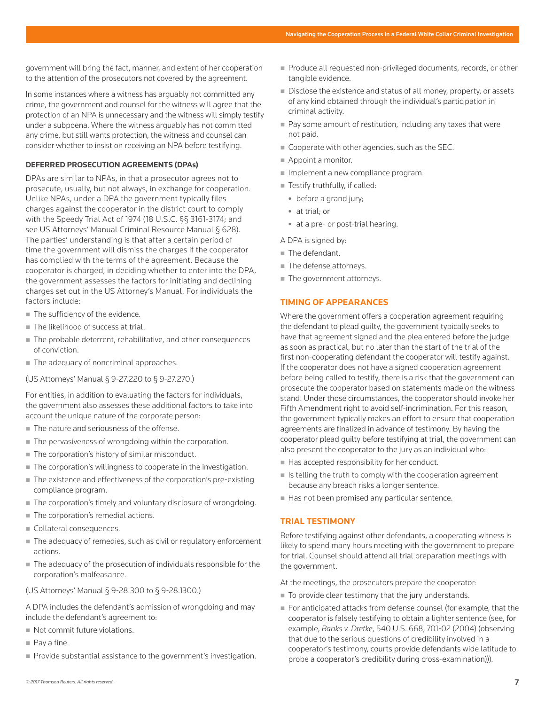government will bring the fact, manner, and extent of her cooperation to the attention of the prosecutors not covered by the agreement.

In some instances where a witness has arguably not committed any crime, the government and counsel for the witness will agree that the protection of an NPA is unnecessary and the witness will simply testify under a subpoena. Where the witness arguably has not committed any crime, but still wants protection, the witness and counsel can consider whether to insist on receiving an NPA before testifying.

#### **DEFERRED PROSECUTION AGREEMENTS (DPAs)**

DPAs are similar to NPAs, in that a prosecutor agrees not to prosecute, usually, but not always, in exchange for cooperation. Unlike NPAs, under a DPA the government typically files charges against the cooperator in the district court to comply with the Speedy Trial Act of 1974 (18 U.S.C. §§ 3161-3174; and see US Attorneys' Manual Criminal Resource Manual § 628). The parties' understanding is that after a certain period of time the government will dismiss the charges if the cooperator has complied with the terms of the agreement. Because the cooperator is charged, in deciding whether to enter into the DPA, the government assesses the factors for initiating and declining charges set out in the US Attorney's Manual. For individuals the factors include:

- The sufficiency of the evidence.
- The likelihood of success at trial.
- The probable deterrent, rehabilitative, and other consequences of conviction.
- The adequacy of noncriminal approaches.

(US Attorneys' Manual § 9-27.220 to § 9-27.270.)

For entities, in addition to evaluating the factors for individuals, the government also assesses these additional factors to take into account the unique nature of the corporate person:

- The nature and seriousness of the offense.
- The pervasiveness of wrongdoing within the corporation.
- The corporation's history of similar misconduct.
- The corporation's willingness to cooperate in the investigation.
- The existence and effectiveness of the corporation's pre-existing compliance program.
- The corporation's timely and voluntary disclosure of wrongdoing.
- The corporation's remedial actions.
- Collateral consequences.
- The adequacy of remedies, such as civil or regulatory enforcement actions.
- $\blacksquare$  The adequacy of the prosecution of individuals responsible for the corporation's malfeasance.

#### (US Attorneys' Manual § 9-28.300 to § 9-28.1300.)

A DPA includes the defendant's admission of wrongdoing and may include the defendant's agreement to:

- Not commit future violations.
- Pay a fine.
- Provide substantial assistance to the government's investigation.
- Produce all requested non-privileged documents, records, or other tangible evidence.
- Disclose the existence and status of all money, property, or assets of any kind obtained through the individual's participation in criminal activity.
- Pay some amount of restitution, including any taxes that were not paid.
- Cooperate with other agencies, such as the SEC.
- Appoint a monitor.
- $\blacksquare$  Implement a new compliance program.
- Testify truthfully, if called:
	- before a grand jury;
	- at trial; or
	- at a pre- or post-trial hearing.

A DPA is signed by:

- The defendant.
- $\blacksquare$  The defense attorneys.
- **The government attorneys.**

#### **TIMING OF APPEARANCES**

Where the government offers a cooperation agreement requiring the defendant to plead guilty, the government typically seeks to have that agreement signed and the plea entered before the judge as soon as practical, but no later than the start of the trial of the first non-cooperating defendant the cooperator will testify against. If the cooperator does not have a signed cooperation agreement before being called to testify, there is a risk that the government can prosecute the cooperator based on statements made on the witness stand. Under those circumstances, the cooperator should invoke her Fifth Amendment right to avoid self-incrimination. For this reason, the government typically makes an effort to ensure that cooperation agreements are finalized in advance of testimony. By having the cooperator plead guilty before testifying at trial, the government can also present the cooperator to the jury as an individual who:

- $H$ as accepted responsibility for her conduct.
- $\blacksquare$  Is telling the truth to comply with the cooperation agreement because any breach risks a longer sentence.
- Has not been promised any particular sentence.

#### **TRIAL TESTIMONY**

Before testifying against other defendants, a cooperating witness is likely to spend many hours meeting with the government to prepare for trial. Counsel should attend all trial preparation meetings with the government.

At the meetings, the prosecutors prepare the cooperator:

- $\blacksquare$  To provide clear testimony that the jury understands.
- For anticipated attacks from defense counsel (for example, that the cooperator is falsely testifying to obtain a lighter sentence (see, for example, *Banks v. Dretke*, 540 U.S. 668, 701-02 (2004) (observing that due to the serious questions of credibility involved in a cooperator's testimony, courts provide defendants wide latitude to probe a cooperator's credibility during cross-examination))).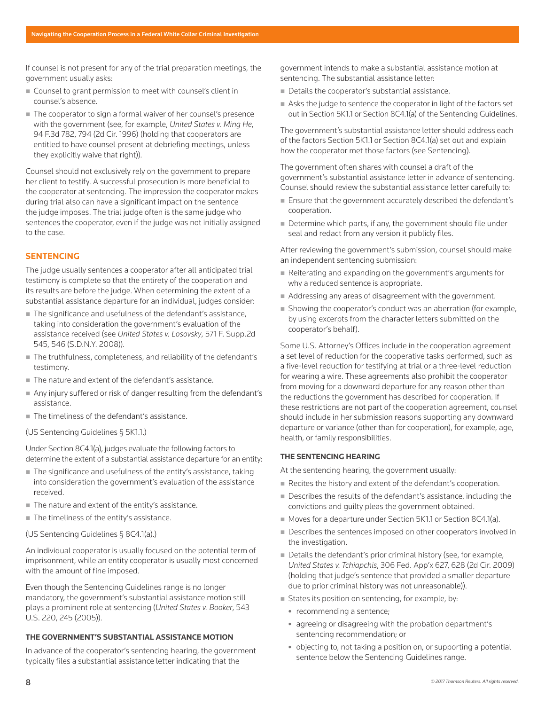If counsel is not present for any of the trial preparation meetings, the government usually asks:

- Counsel to grant permission to meet with counsel's client in counsel's absence.
- The cooperator to sign a formal waiver of her counsel's presence with the government (see, for example, *United States v. Ming He*, 94 F.3d 782, 794 (2d Cir. 1996) (holding that cooperators are entitled to have counsel present at debriefing meetings, unless they explicitly waive that right)).

Counsel should not exclusively rely on the government to prepare her client to testify. A successful prosecution is more beneficial to the cooperator at sentencing. The impression the cooperator makes during trial also can have a significant impact on the sentence the judge imposes. The trial judge often is the same judge who sentences the cooperator, even if the judge was not initially assigned to the case.

# **SENTENCING**

The judge usually sentences a cooperator after all anticipated trial testimony is complete so that the entirety of the cooperation and its results are before the judge. When determining the extent of a substantial assistance departure for an individual, judges consider:

- The significance and usefulness of the defendant's assistance, taking into consideration the government's evaluation of the assistance received (see *United States v. Losovsky*, 571 F. Supp.2d 545, 546 (S.D.N.Y. 2008)).
- The truthfulness, completeness, and reliability of the defendant's testimony.
- The nature and extent of the defendant's assistance.
- Any injury suffered or risk of danger resulting from the defendant's assistance.
- The timeliness of the defendant's assistance.
- (US Sentencing Guidelines § 5K1.1.)

Under Section 8C4.1(a), judges evaluate the following factors to determine the extent of a substantial assistance departure for an entity:

- The significance and usefulness of the entity's assistance, taking into consideration the government's evaluation of the assistance received.
- The nature and extent of the entity's assistance.
- The timeliness of the entity's assistance.

(US Sentencing Guidelines § 8C4.1(a).)

An individual cooperator is usually focused on the potential term of imprisonment, while an entity cooperator is usually most concerned with the amount of fine imposed.

Even though the Sentencing Guidelines range is no longer mandatory, the government's substantial assistance motion still plays a prominent role at sentencing (*United States v. Booker*, 543 U.S. 220, 245 (2005)).

## **THE GOVERNMENT'S SUBSTANTIAL ASSISTANCE MOTION**

In advance of the cooperator's sentencing hearing, the government typically files a substantial assistance letter indicating that the

government intends to make a substantial assistance motion at sentencing. The substantial assistance letter:

- Details the cooperator's substantial assistance.
- Asks the judge to sentence the cooperator in light of the factors set out in Section 5K1.1 or Section 8C4.1(a) of the Sentencing Guidelines.

The government's substantial assistance letter should address each of the factors Section 5K1.1 or Section 8C4.1(a) set out and explain how the cooperator met those factors (see Sentencing).

The government often shares with counsel a draft of the government's substantial assistance letter in advance of sentencing. Counsel should review the substantial assistance letter carefully to:

- Ensure that the government accurately described the defendant's cooperation.
- Determine which parts, if any, the government should file under seal and redact from any version it publicly files.

After reviewing the government's submission, counsel should make an independent sentencing submission:

- Reiterating and expanding on the government's arguments for why a reduced sentence is appropriate.
- Addressing any areas of disagreement with the government.
- Showing the cooperator's conduct was an aberration (for example, by using excerpts from the character letters submitted on the cooperator's behalf).

Some U.S. Attorney's Offices include in the cooperation agreement a set level of reduction for the cooperative tasks performed, such as a five-level reduction for testifying at trial or a three-level reduction for wearing a wire. These agreements also prohibit the cooperator from moving for a downward departure for any reason other than the reductions the government has described for cooperation. If these restrictions are not part of the cooperation agreement, counsel should include in her submission reasons supporting any downward departure or variance (other than for cooperation), for example, age, health, or family responsibilities.

#### **THE SENTENCING HEARING**

At the sentencing hearing, the government usually:

- Recites the history and extent of the defendant's cooperation.
- Describes the results of the defendant's assistance, including the convictions and guilty pleas the government obtained.
- Moves for a departure under Section 5K1.1 or Section 8C4.1(a).
- Describes the sentences imposed on other cooperators involved in the investigation.
- Details the defendant's prior criminal history (see, for example, *United States v. Tchiapchis*, 306 Fed. App'x 627, 628 (2d Cir. 2009) (holding that judge's sentence that provided a smaller departure due to prior criminal history was not unreasonable)).
- States its position on sentencing, for example, by:
	- recommending a sentence;
	- agreeing or disagreeing with the probation department's sentencing recommendation; or
	- objecting to, not taking a position on, or supporting a potential sentence below the Sentencing Guidelines range.